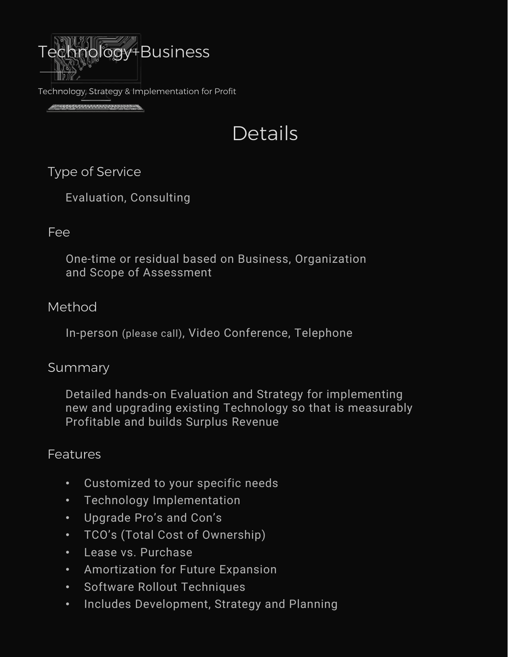

Technology, Strategy & Implementation for Profit

<u>statemente present</u>

# Details

# Type of Service

Evaluation, Consulting

# Fee

One-time or residual based on Business, Organization and Scope of Assessment

# Method

In-person (please call), Video Conference, Telephone

#### Summary

Detailed hands-on Evaluation and Strategy for implementing new and upgrading existing Technology so that is measurably Profitable and builds Surplus Revenue

# **Features**

- Customized to your specific needs
- Technology Implementation
- Upgrade Pro's and Con's
- TCO's (Total Cost of Ownership)
- Lease vs. Purchase
- Amortization for Future Expansion
- Software Rollout Techniques
- Includes Development, Strategy and Planning